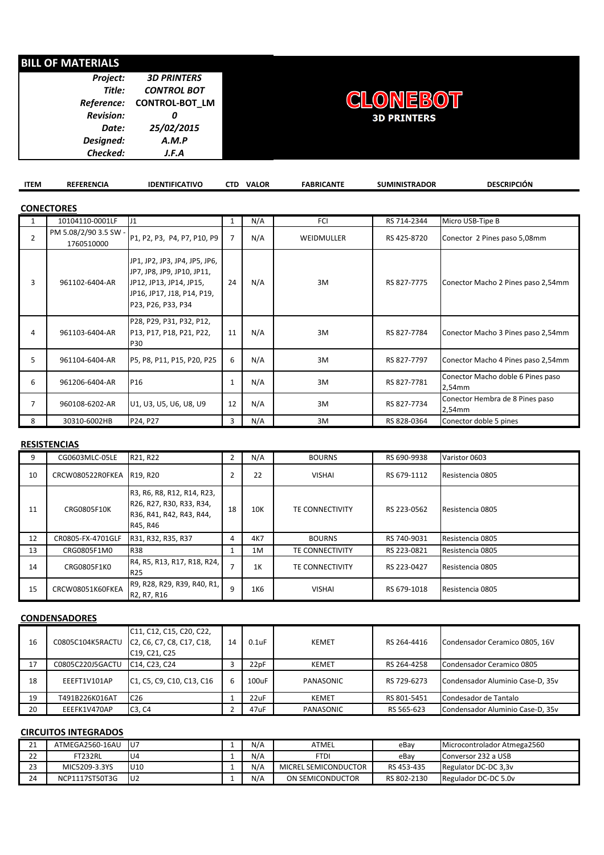# **BILL OF MATERIALS**

| <b>Project:</b>  | <b>3D PRINTERS</b>        |
|------------------|---------------------------|
| Title:           | <b>CONTROL BOT</b>        |
|                  | Reference: CONTROL-BOT LM |
| <b>Revision:</b> |                           |
| Date:            | 25/02/2015                |
| Designed:        | A.M.P                     |
| Checked:         | J.F.A                     |



| <b>ITEM</b>    | <b>REFERENCIA</b>                   | <b>IDENTIFICATIVO</b>                                                                                                                      | <b>CTD</b>     | <b>VALOR</b> | <b>FABRICANTE</b> | <b>SUMINISTRADOR</b> | <b>DESCRIPCIÓN</b>                          |  |  |  |  |  |
|----------------|-------------------------------------|--------------------------------------------------------------------------------------------------------------------------------------------|----------------|--------------|-------------------|----------------------|---------------------------------------------|--|--|--|--|--|
|                | <b>CONECTORES</b>                   |                                                                                                                                            |                |              |                   |                      |                                             |  |  |  |  |  |
| $\mathbf{1}$   | 10104110-0001LF                     | J <sub>1</sub>                                                                                                                             | 1              | N/A          | FCI               | RS 714-2344          | Micro USB-Tipe B                            |  |  |  |  |  |
| $\overline{2}$ | PM 5.08/2/90 3.5 SW -<br>1760510000 | P1, P2, P3, P4, P7, P10, P9                                                                                                                | $\overline{7}$ | N/A          | WEIDMULLER        | RS 425-8720          | Conector 2 Pines paso 5,08mm                |  |  |  |  |  |
| 3              | 961102-6404-AR                      | JP1, JP2, JP3, JP4, JP5, JP6,<br>JP7, JP8, JP9, JP10, JP11,<br>JP12, JP13, JP14, JP15,<br>JP16, JP17, J18, P14, P19,<br>P23, P26, P33, P34 | 24             | N/A          | 3M                | RS 827-7775          | Conector Macho 2 Pines paso 2,54mm          |  |  |  |  |  |
| 4              | 961103-6404-AR                      | P28, P29, P31, P32, P12,<br>P13, P17, P18, P21, P22,<br><b>P30</b>                                                                         | 11             | N/A          | 3M                | RS 827-7784          | Conector Macho 3 Pines paso 2,54mm          |  |  |  |  |  |
| 5              | 961104-6404-AR                      | P5, P8, P11, P15, P20, P25                                                                                                                 | 6              | N/A          | 3M                | RS 827-7797          | Conector Macho 4 Pines paso 2,54mm          |  |  |  |  |  |
| 6              | 961206-6404-AR                      | P <sub>16</sub>                                                                                                                            | 1              | N/A          | 3M                | RS 827-7781          | Conector Macho doble 6 Pines paso<br>2,54mm |  |  |  |  |  |
| 7              | 960108-6202-AR                      | U1, U3, U5, U6, U8, U9                                                                                                                     | 12             | N/A          | 3M                | RS 827-7734          | Conector Hembra de 8 Pines paso<br>2,54mm   |  |  |  |  |  |
| 8              | 30310-6002HB                        | P24, P27                                                                                                                                   | 3              | N/A          | 3M                | RS 828-0364          | Conector doble 5 pines                      |  |  |  |  |  |

#### **RESISTENCIAS**

| 9  | CG0603MLC-05LE     | R21, R22                                                                                       | $\overline{2}$ | N/A | <b>BOURNS</b>          | RS 690-9938 | Varistor 0603    |
|----|--------------------|------------------------------------------------------------------------------------------------|----------------|-----|------------------------|-------------|------------------|
| 10 | CRCW080522R0FKEA   | R19, R20                                                                                       | 2              | 22  | <b>VISHAI</b>          | RS 679-1112 | Resistencia 0805 |
| 11 | <b>CRG0805F10K</b> | R3, R6, R8, R12, R14, R23,<br>R26, R27, R30, R33, R34,<br>R36, R41, R42, R43, R44,<br>R45, R46 | 18             | 10K | <b>TE CONNECTIVITY</b> | RS 223-0562 | Resistencia 0805 |
| 12 | CR0805-FX-4701GLF  | R31, R32, R35, R37                                                                             | 4              | 4K7 | <b>BOURNS</b>          | RS 740-9031 | Resistencia 0805 |
| 13 | CRG0805F1M0        | <b>R38</b>                                                                                     |                | 1M  | <b>TE CONNECTIVITY</b> | RS 223-0821 | Resistencia 0805 |
| 14 | CRG0805F1K0        | R4, R5, R13, R17, R18, R24,<br>R <sub>25</sub>                                                 |                | 1K  | TE CONNECTIVITY        | RS 223-0427 | Resistencia 0805 |
| 15 | CRCW08051K60FKEA   | R9, R28, R29, R39, R40, R1,<br>R2, R7, R16                                                     | 9              | 1K6 | <b>VISHAI</b>          | RS 679-1018 | Resistencia 0805 |

## **CONDENSADORES**

|    |                  | C11, C12, C15, C20, C22,                                                                                |    |             |              |             |                                  |
|----|------------------|---------------------------------------------------------------------------------------------------------|----|-------------|--------------|-------------|----------------------------------|
| 16 | C0805C104K5RACTU | C <sub>2</sub> , C <sub>6</sub> , C <sub>7</sub> , C <sub>8</sub> , C <sub>17</sub> , C <sub>18</sub> , | 14 | $0.1$ u $F$ | <b>KEMET</b> | RS 264-4416 | Condensador Ceramico 0805, 16V   |
|    |                  | C19, C21, C25                                                                                           |    |             |              |             |                                  |
| 17 | C0805C220J5GACTU | C <sub>14</sub> , C <sub>23</sub> , C <sub>24</sub>                                                     | J. | 22pF        | <b>KEMET</b> | RS 264-4258 | Condensador Ceramico 0805        |
| 18 | EEEFT1V101AP     | C <sub>1</sub> , C <sub>5</sub> , C <sub>9</sub> , C <sub>10</sub> , C <sub>13</sub> , C <sub>16</sub>  | 6  | 100uF       | PANASONIC    | RS 729-6273 | Condensador Aluminio Case-D, 35v |
| 19 | T491B226K016AT   | C <sub>26</sub>                                                                                         |    | 22uF        | <b>KEMET</b> | RS 801-5451 | Condesador de Tantalo            |
| 20 | EEEFK1V470AP     | C <sub>3</sub> , C <sub>4</sub>                                                                         | -  | 47uF        | PANASONIC    | RS 565-623  | Condensador Aluminio Case-D, 35v |

#### **CIRCUITOS INTEGRADOS**

| 21<br>ᅩ           | ATMEGA2560-16AU | lU7       | N/A | ATMEL                | eBav        | Microcontrolador Atmega2560 |
|-------------------|-----------------|-----------|-----|----------------------|-------------|-----------------------------|
| $\mathbf{a}$<br>ᅩ | FT232RL         | U4        | N/A | FTDI                 | eBav        | Conversor 232 a USB         |
| วว<br>23          | MIC5209-3.3YS   | U10       | N/A | MICREL SEMICONDUCTOR | RS 453-435  | Regulator DC-DC 3.3y        |
| 24                | NCP1117ST50T3G  | <b>U2</b> | N/A | ON SEMICONDUCTOR     | RS 802-2130 | Regulador DC-DC 5.0v        |